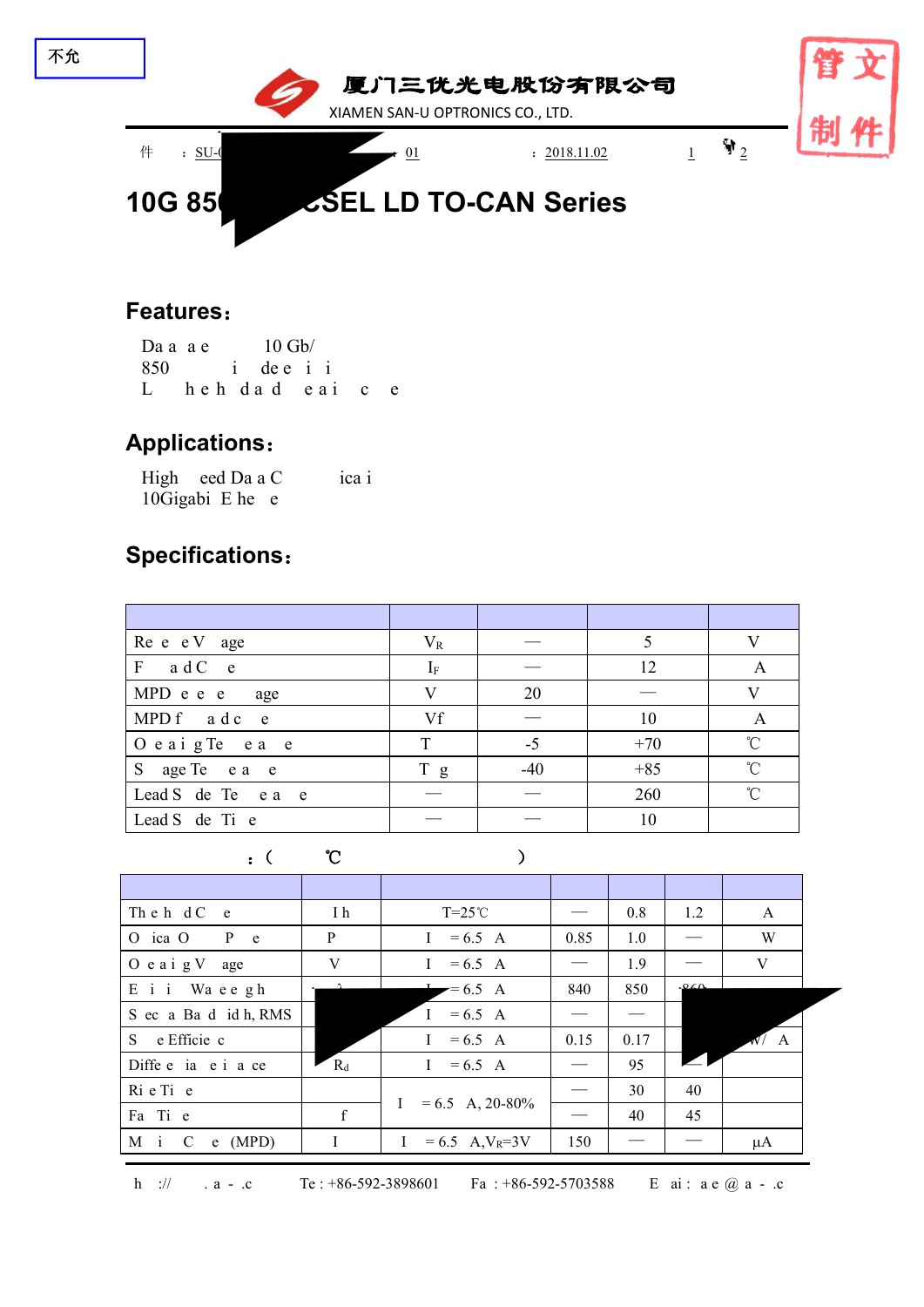

#### **Features**:

Da a a e  $10$  Gb/ 850 l i de e i i Lhehdad eaic e

#### **Applications**:

High eed Da a C ica i 10Gigabi E he e

## **Specifications**:

| Re e e V age              | $V_{R}$      |       |       |              |
|---------------------------|--------------|-------|-------|--------------|
| $F$ a d C e               | $I_{\rm F}$  |       | 12    | A            |
| MPD e e e age             | $\mathbf{V}$ | 20    |       |              |
| MPD f a d c e             | Vf           |       | 10    | A            |
| $\int$ O e a i g Te e a e | T            | $-5$  | $+70$ | $^{\circ}$ C |
| S age Te e a e            | T g          | $-40$ | $+85$ | $^{\circ}$ C |
| Lead S de Te e a e        |              |       | 260   | $^{\circ}C$  |
| Lead S de Ti e            |              |       | 10    |              |

| $\mathcal{C}$ ( $\mathcal{C}$ ) |  |
|---------------------------------|--|
|---------------------------------|--|

| The h dC e            | I h   | $T=25^{\circ}C$                               |      | 0.8             | 1.2                   | A            |
|-----------------------|-------|-----------------------------------------------|------|-----------------|-----------------------|--------------|
| O ica O<br>$P$ e      | P     | $= 6.5 A$<br>$\mathbf{I}$                     | 0.85 | 1.0             | $\hspace{0.05cm}$     | W            |
| $O$ e a i g V<br>age  | V     | $= 6.5 A$<br>$\mathbf{I}$                     |      | 1.9             |                       | $\mathbf V$  |
| E i i Waeegh          |       | $= 6.5 A$                                     | 840  | 850             | 060                   |              |
| S ec a Ba d id h, RMS |       | $I = 6.5 A$                                   |      |                 |                       |              |
| S e Efficie c         |       | $= 6.5 A$<br>$\mathbf{I}$                     | 0.15 | 0.17            |                       | $\sqrt{N}/A$ |
| Diffe e ia e i a ce   | $R_d$ | $= 6.5 A$<br>$\mathbf{I}$                     |      | 95              | $\blacktriangleright$ |              |
| Rie Tie               |       |                                               |      | 30              | 40                    |              |
| Fa Ti e               | f     | $= 6.5$ A, 20-80%<br>$\mathbf{I}$             |      | 40              | 45                    |              |
| M i C<br>$e$ (MPD)    | Ι     | $= 6.5$ A, V <sub>R</sub> =3V<br>$\mathbf{I}$ | 150  | $\qquad \qquad$ |                       | μA           |
|                       |       |                                               |      |                 |                       |              |

l : ae @ a - .c

h ://  $a - c$  Te: +86-592-3898601 Fa: +86-592-5703588 E ai: a e @ a - .c